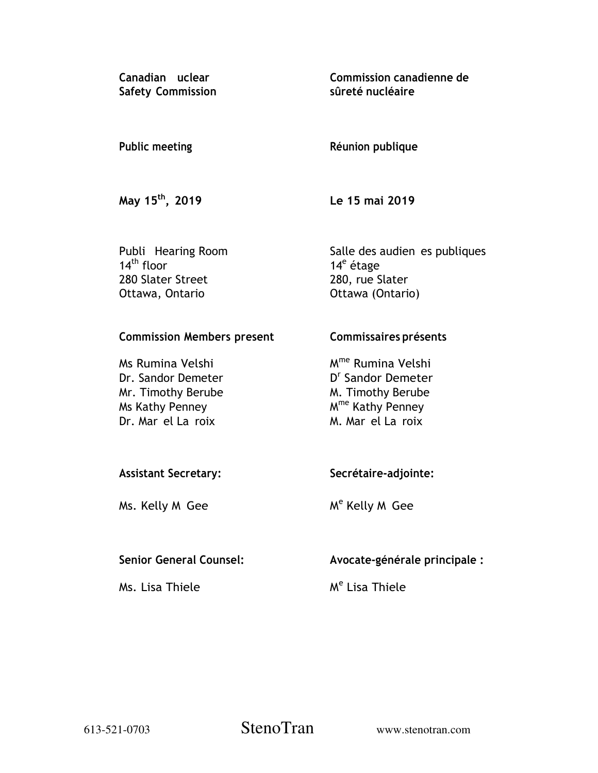**Canadian uclear Safety Commission**  **Commission canadienne de sûreté nucléaire** 

## **Public meeting**

# **Réunion publique**

**May 15th, 2019** 

 **Le 15 mai 2019** 

Publi Hearing Room  $14<sup>th</sup>$  floor 280 Slater Street Ottawa, Ontario

 Salle des audien es publiques 14<sup>e</sup> étage 280, rue Slater Ottawa (Ontario)

# **Commission Members present**

Ms Rumina Velshi Dr. Sandor Demeter Mr. Timothy Berube Ms Kathy Penney Dr. Mar el La roix

**Commissaires présents** 

M<sup>me</sup> Rumina Velshi D<sup>r</sup> Sandor Demeter M. Timothy Berube M<sup>me</sup> Kathy Penney M. Mar el La roix

# **Assistant Secretary:**

Ms. Kelly M Gee

**Secrétaire-adjointe:** 

M<sup>e</sup> Kelly M Gee

# **Senior General Counsel:**

Ms. Lisa Thiele

 **Avocate-générale principale :** 

M<sup>e</sup> Lisa Thiele

613-521-0703 StenoTran www.stenotran.com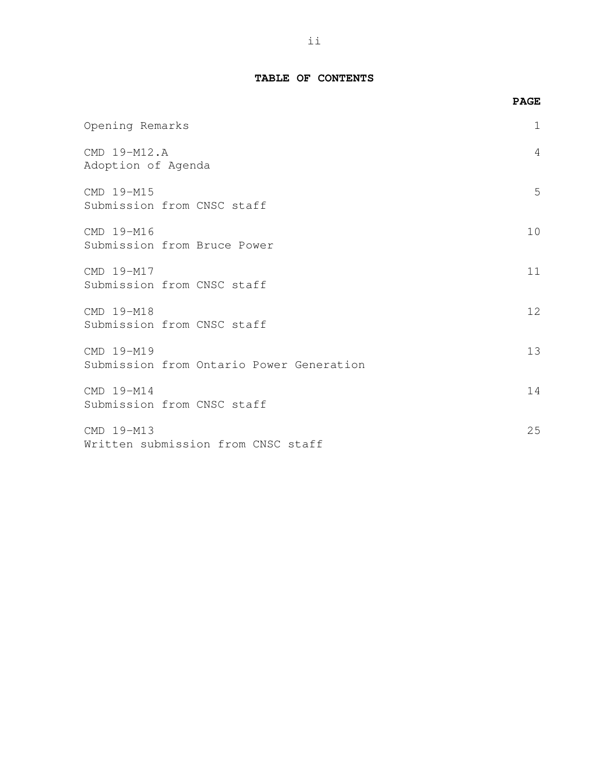### **TABLE OF CONTENTS**

|                                                        | <b>PAGE</b> |
|--------------------------------------------------------|-------------|
| Opening Remarks                                        | 1           |
| CMD 19-M12.A<br>Adoption of Agenda                     | 4           |
| CMD 19-M15<br>Submission from CNSC staff               | 5           |
| CMD 19-M16<br>Submission from Bruce Power              | 10          |
| CMD 19-M17<br>Submission from CNSC staff               | 11          |
| CMD 19-M18<br>Submission from CNSC staff               | 12          |
| CMD 19-M19<br>Submission from Ontario Power Generation | 13          |
| CMD 19-M14<br>Submission from CNSC staff               | 14          |
| CMD 19-M13<br>Written submission from CNSC staff       | 25          |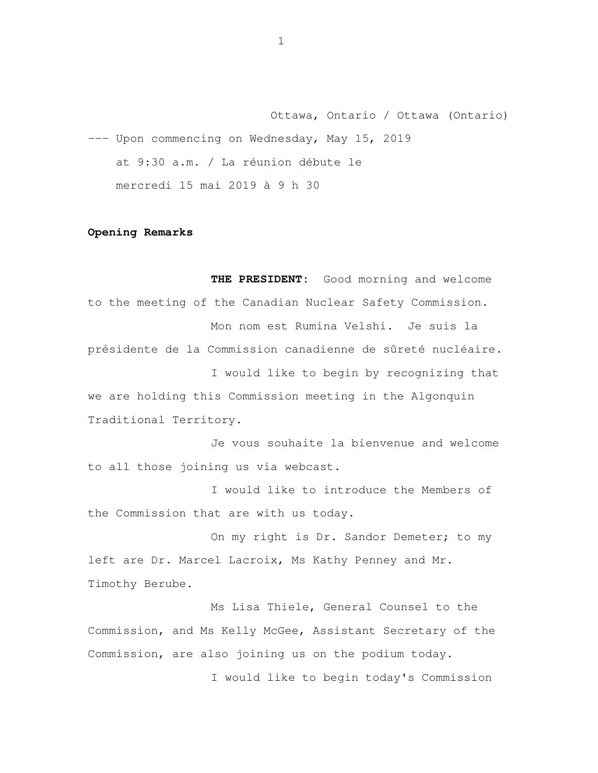Ottawa, Ontario / Ottawa (Ontario) --- Upon commencing on Wednesday, May 15, 2019 at 9:30 a.m. / La réunion débute le mercredi 15 mai 2019 à 9 h 30

#### **Opening Remarks**

 **THE PRESIDENT:** Good morning and welcome to the meeting of the Canadian Nuclear Safety Commission. Mon nom est Rumina Velshi. Je suis la présidente de la Commission canadienne de sûreté nucléaire. I would like to begin by recognizing that we are holding this Commission meeting in the Algonquin Traditional Territory.

 Je vous souhaite la bienvenue and welcome to all those joining us via webcast.

 I would like to introduce the Members of the Commission that are with us today.

On my right is Dr. Sandor Demeter; to my left are Dr. Marcel Lacroix, Ms Kathy Penney and Mr. Timothy Berube.

 Ms Lisa Thiele, General Counsel to the Commission, and Ms Kelly McGee, Assistant Secretary of the Commission, are also joining us on the podium today.

I would like to begin today's Commission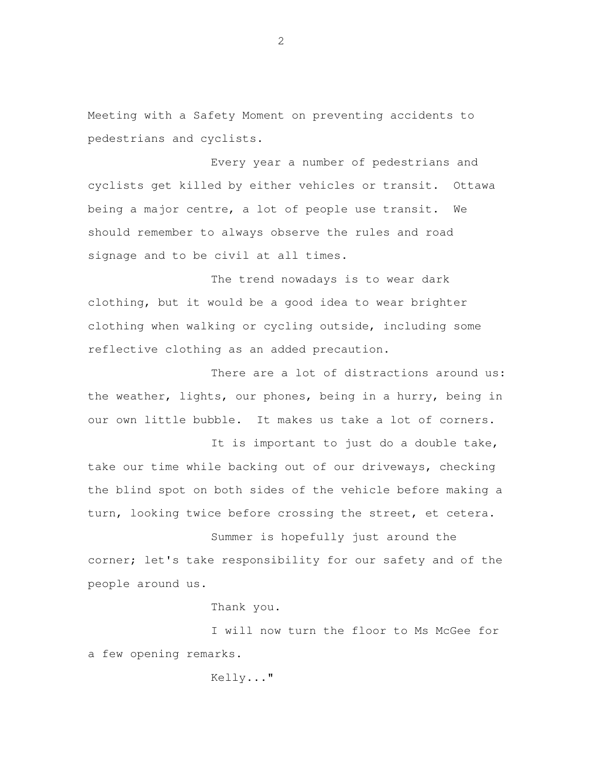Meeting with a Safety Moment on preventing accidents to pedestrians and cyclists.

 Every year a number of pedestrians and cyclists get killed by either vehicles or transit. Ottawa being a major centre, a lot of people use transit. We should remember to always observe the rules and road signage and to be civil at all times.

 The trend nowadays is to wear dark clothing, but it would be a good idea to wear brighter clothing when walking or cycling outside, including some reflective clothing as an added precaution.

There are a lot of distractions around us: the weather, lights, our phones, being in a hurry, being in our own little bubble. It makes us take a lot of corners.

It is important to just do a double take, take our time while backing out of our driveways, checking the blind spot on both sides of the vehicle before making a turn, looking twice before crossing the street, et cetera.

 Summer is hopefully just around the corner; let's take responsibility for our safety and of the people around us.

Thank you.

 I will now turn the floor to Ms McGee for a few opening remarks.

Kelly..."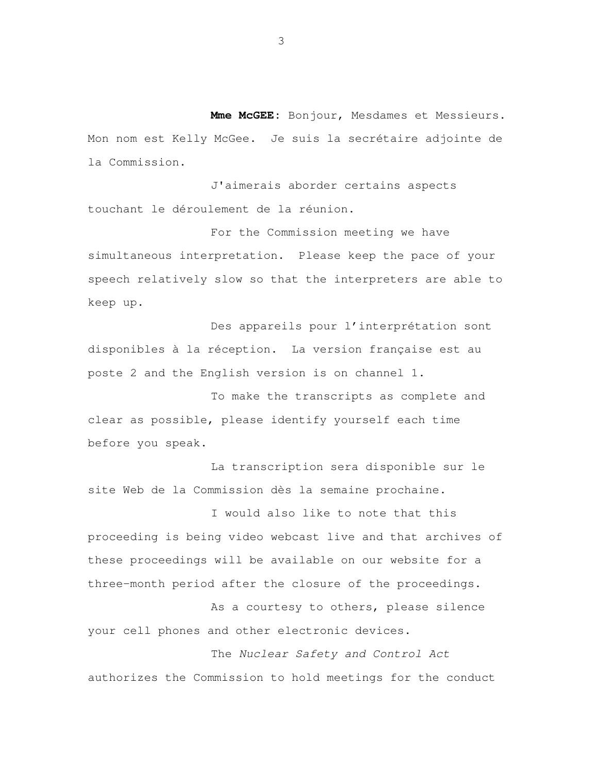**Mme McGEE:** Bonjour, Mesdames et Messieurs. Mon nom est Kelly McGee. Je suis la secrétaire adjointe de la Commission.

 J'aimerais aborder certains aspects touchant le déroulement de la réunion.

 For the Commission meeting we have simultaneous interpretation. Please keep the pace of your speech relatively slow so that the interpreters are able to keep up.

 Des appareils pour l'interprétation sont disponibles à la réception. La version française est au poste 2 and the English version is on channel 1.

 To make the transcripts as complete and clear as possible, please identify yourself each time before you speak.

 La transcription sera disponible sur le site Web de la Commission dès la semaine prochaine.

 I would also like to note that this proceeding is being video webcast live and that archives of these proceedings will be available on our website for a three-month period after the closure of the proceedings.

 As a courtesy to others, please silence your cell phones and other electronic devices.

 The Nuclear Safety and Control Act authorizes the Commission to hold meetings for the conduct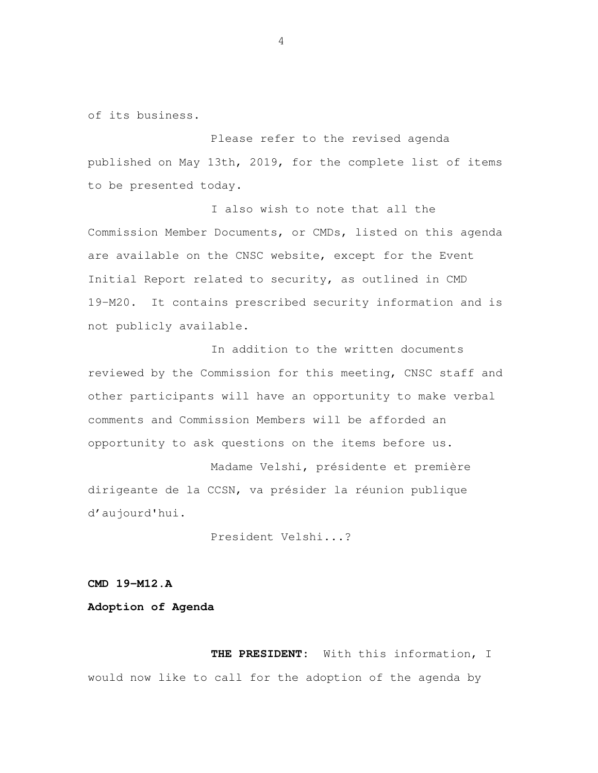of its business.

 Please refer to the revised agenda published on May 13th, 2019, for the complete list of items to be presented today.

 I also wish to note that all the Commission Member Documents, or CMDs, listed on this agenda are available on the CNSC website, except for the Event Initial Report related to security, as outlined in CMD 19-M20. It contains prescribed security information and is not publicly available.

 In addition to the written documents reviewed by the Commission for this meeting, CNSC staff and other participants will have an opportunity to make verbal comments and Commission Members will be afforded an opportunity to ask questions on the items before us.

 Madame Velshi, présidente et première dirigeante de la CCSN, va présider la réunion publique d'aujourd'hui.

President Velshi...?

#### **CMD 19-M12.A**

#### **Adoption of Agenda**

 **THE PRESIDENT:** With this information, I would now like to call for the adoption of the agenda by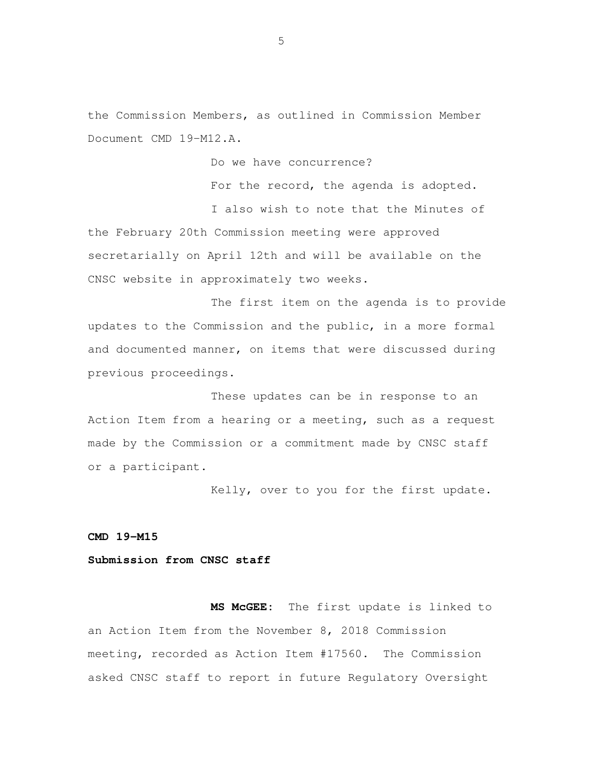the Commission Members, as outlined in Commission Member Document CMD 19-M12.A.

Do we have concurrence?

For the record, the agenda is adopted.

 I also wish to note that the Minutes of the February 20th Commission meeting were approved secretarially on April 12th and will be available on the CNSC website in approximately two weeks.

 The first item on the agenda is to provide updates to the Commission and the public, in a more formal and documented manner, on items that were discussed during previous proceedings.

 These updates can be in response to an Action Item from a hearing or a meeting, such as a request made by the Commission or a commitment made by CNSC staff or a participant.

Kelly, over to you for the first update.

 **CMD 19-M15** 

 **Submission from CNSC staff** 

MS MCGEE: an Action Item from the November 8, 2018 Commission meeting, recorded as Action Item #17560. The Commission asked CNSC staff to report in future Regulatory Oversight The first update is linked to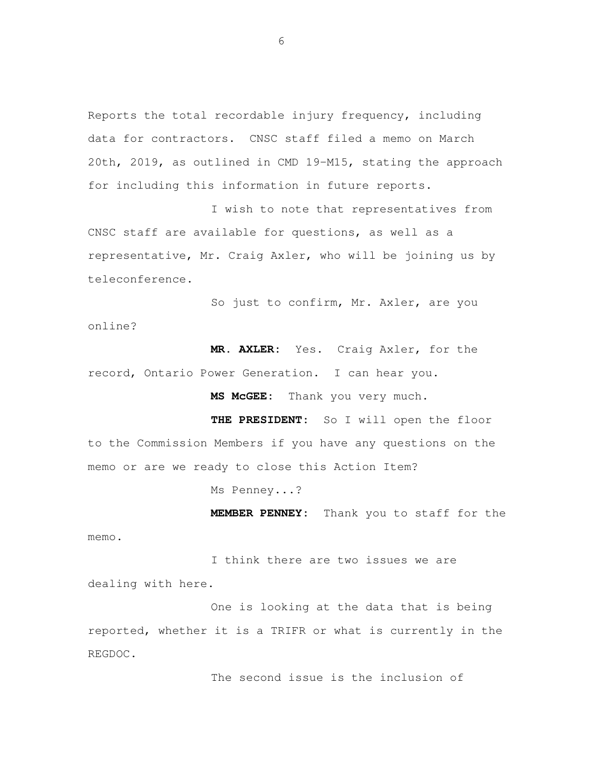Reports the total recordable injury frequency, including data for contractors. CNSC staff filed a memo on March 20th, 2019, as outlined in CMD 19-M15, stating the approach for including this information in future reports.

 I wish to note that representatives from CNSC staff are available for questions, as well as a representative, Mr. Craig Axler, who will be joining us by teleconference.

 So just to confirm, Mr. Axler, are you online?

 **MR. AXLER:** Yes. Craig Axler, for the record, Ontario Power Generation. I can hear you.

**MS McGEE:** Thank you very much.

 **THE PRESIDENT:** So I will open the floor to the Commission Members if you have any questions on the memo or are we ready to close this Action Item?

Ms Penney...?

memo.

**MEMBER PENNEY:** Thank you to staff for the

 I think there are two issues we are dealing with here.

 One is looking at the data that is being reported, whether it is a TRIFR or what is currently in the REGDOC.

The second issue is the inclusion of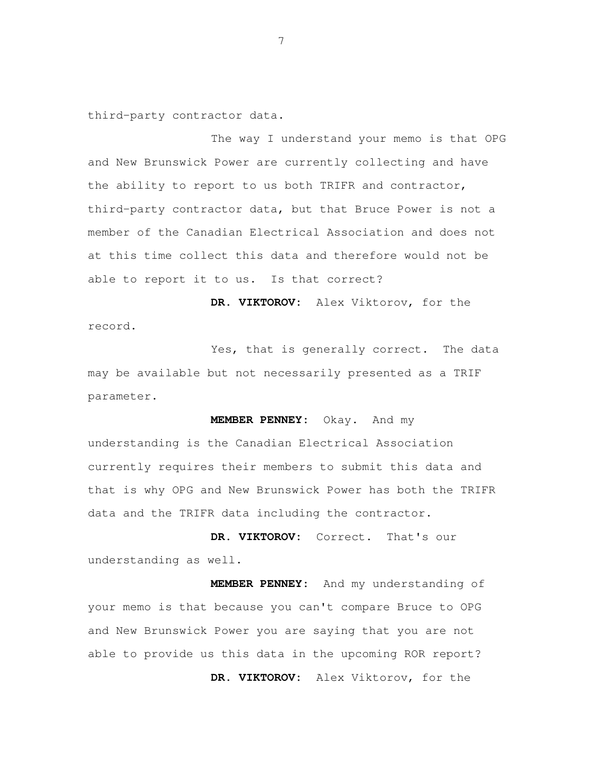third-party contractor data.

 The way I understand your memo is that OPG and New Brunswick Power are currently collecting and have the ability to report to us both TRIFR and contractor, third-party contractor data, but that Bruce Power is not a member of the Canadian Electrical Association and does not at this time collect this data and therefore would not be able to report it to us. Is that correct?

 **DR. VIKTOROV:** Alex Viktorov, for the record.

 Yes, that is generally correct. The data may be available but not necessarily presented as a TRIF parameter.

 **MEMBER PENNEY:** Okay. And my understanding is the Canadian Electrical Association currently requires their members to submit this data and that is why OPG and New Brunswick Power has both the TRIFR

 **DR. VIKTOROV:** Correct. That's our understanding as well.

data and the TRIFR data including the contractor.

 **MEMBER PENNEY:** And my understanding of your memo is that because you can't compare Bruce to OPG and New Brunswick Power you are saying that you are not able to provide us this data in the upcoming ROR report? **DR. VIKTOROV:** Alex Viktorov, for the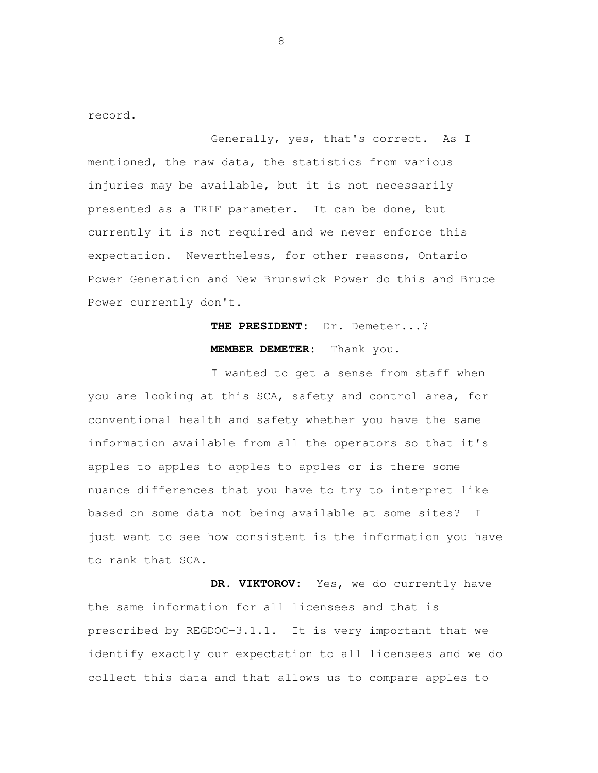record.

 Generally, yes, that's correct. As I mentioned, the raw data, the statistics from various injuries may be available, but it is not necessarily presented as a TRIF parameter. It can be done, but currently it is not required and we never enforce this expectation. Nevertheless, for other reasons, Ontario Power Generation and New Brunswick Power do this and Bruce Power currently don't.

# **THE PRESIDENT:** Dr. Demeter...? **MEMBER DEMETER:** Thank you.

 I wanted to get a sense from staff when you are looking at this SCA, safety and control area, for conventional health and safety whether you have the same information available from all the operators so that it's apples to apples to apples to apples or is there some nuance differences that you have to try to interpret like based on some data not being available at some sites? I just want to see how consistent is the information you have to rank that SCA.

 **DR. VIKTOROV:** Yes, we do currently have the same information for all licensees and that is prescribed by REGDOC-3.1.1. It is very important that we identify exactly our expectation to all licensees and we do collect this data and that allows us to compare apples to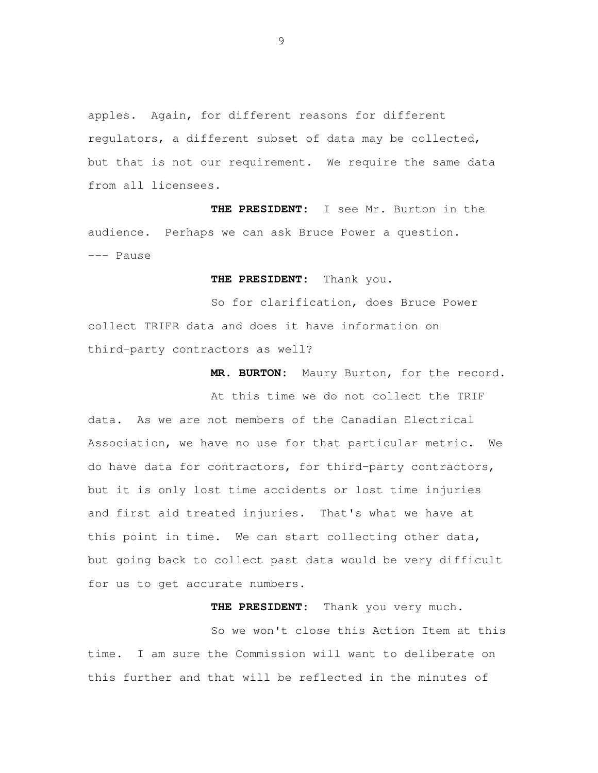apples. Again, for different reasons for different regulators, a different subset of data may be collected, but that is not our requirement. We require the same data from all licensees.

 **THE PRESIDENT:** I see Mr. Burton in the audience. Perhaps we can ask Bruce Power a question. --- Pause

**THE PRESIDENT:** Thank you.

 So for clarification, does Bruce Power collect TRIFR data and does it have information on third-party contractors as well?

**MR. BURTON:** Maury Burton, for the record.

 At this time we do not collect the TRIF data. As we are not members of the Canadian Electrical Association, we have no use for that particular metric. We do have data for contractors, for third-party contractors, but it is only lost time accidents or lost time injuries and first aid treated injuries. That's what we have at this point in time. We can start collecting other data, but going back to collect past data would be very difficult for us to get accurate numbers.

**THE PRESIDENT:** Thank you very much.

 So we won't close this Action Item at this time. I am sure the Commission will want to deliberate on this further and that will be reflected in the minutes of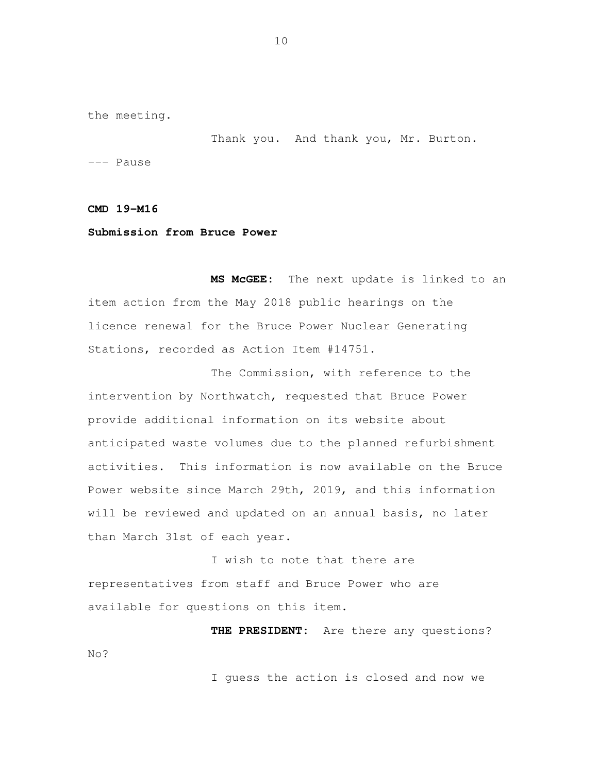the meeting.

Thank you. And thank you, Mr. Burton.

--- Pause

 **CMD 19-M16** 

#### **Submission from Bruce Power**

 **MS McGEE:** The next update is linked to an item action from the May 2018 public hearings on the licence renewal for the Bruce Power Nuclear Generating Stations, recorded as Action Item #14751.

 The Commission, with reference to the intervention by Northwatch, requested that Bruce Power provide additional information on its website about anticipated waste volumes due to the planned refurbishment activities. This information is now available on the Bruce Power website since March 29th, 2019, and this information will be reviewed and updated on an annual basis, no later than March 31st of each year.

 I wish to note that there are representatives from staff and Bruce Power who are available for questions on this item.

 **THE PRESIDENT:** Are there any questions? No?

I guess the action is closed and now we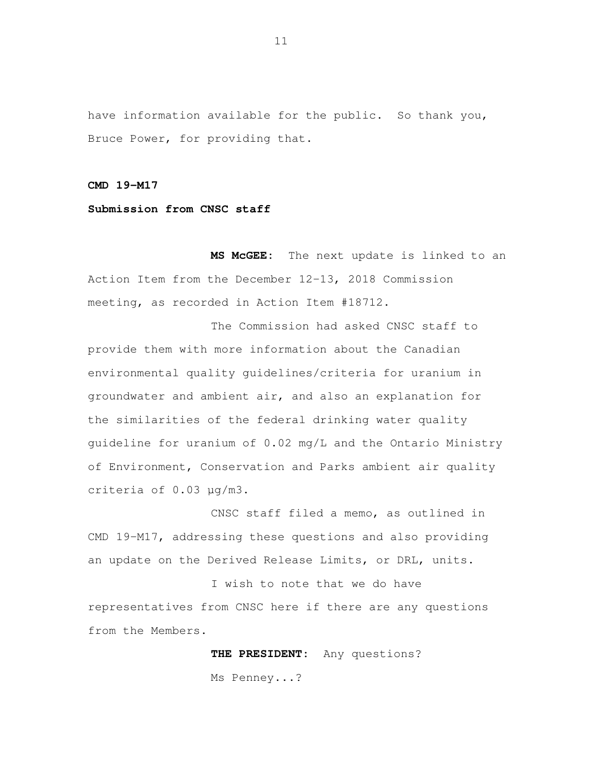have information available for the public. So thank you, Bruce Power, for providing that.

 **CMD 19-M17** 

 **Submission from CNSC staff** 

 **MS McGEE:** The next update is linked to an Action Item from the December 12-13, 2018 Commission meeting, as recorded in Action Item #18712.

 The Commission had asked CNSC staff to provide them with more information about the Canadian environmental quality guidelines/criteria for uranium in groundwater and ambient air, and also an explanation for the similarities of the federal drinking water quality guideline for uranium of 0.02 mg/L and the Ontario Ministry of Environment, Conservation and Parks ambient air quality criteria of 0.03 µg/m3.

 CNSC staff filed a memo, as outlined in CMD 19-M17, addressing these questions and also providing an update on the Derived Release Limits, or DRL, units.

 I wish to note that we do have representatives from CNSC here if there are any questions from the Members.

> **THE PRESIDENT:** Any questions? Ms Penney...?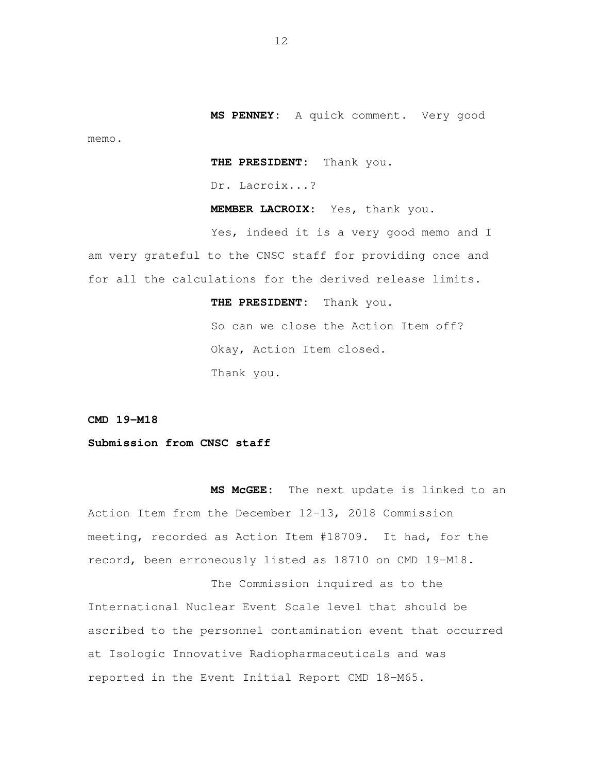**MS PENNEY:** A quick comment. Very good memo.

**THE PRESIDENT:** Thank you.

Dr. Lacroix...?

**MEMBER LACROIX:** Yes, thank you.

 Yes, indeed it is a very good memo and I am very grateful to the CNSC staff for providing once and for all the calculations for the derived release limits.

> **THE PRESIDENT:** Thank you. So can we close the Action Item off? Okay, Action Item closed. Thank you.

 **CMD 19-M18** 

 **Submission from CNSC staff** 

 **MS McGEE:** The next update is linked to an Action Item from the December 12-13, 2018 Commission meeting, recorded as Action Item #18709. It had, for the record, been erroneously listed as 18710 on CMD 19-M18.

 The Commission inquired as to the International Nuclear Event Scale level that should be ascribed to the personnel contamination event that occurred at Isologic Innovative Radiopharmaceuticals and was reported in the Event Initial Report CMD 18-M65.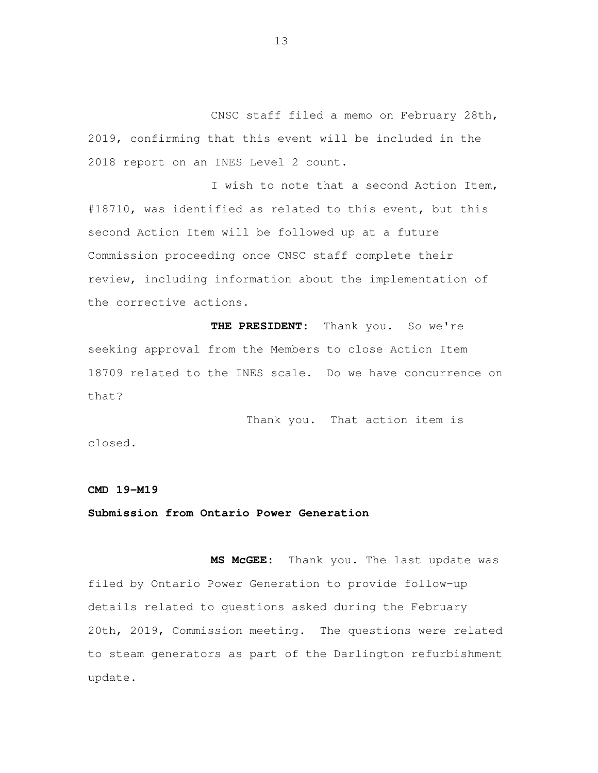CNSC staff filed a memo on February 28th, 2019, confirming that this event will be included in the 2018 report on an INES Level 2 count.

 I wish to note that a second Action Item, #18710, was identified as related to this event, but this second Action Item will be followed up at a future Commission proceeding once CNSC staff complete their review, including information about the implementation of the corrective actions.

 **THE PRESIDENT:** Thank you. So we're seeking approval from the Members to close Action Item 18709 related to the INES scale. Do we have concurrence on that?

Thank you. That action item is

closed.

#### **CMD 19-M19**

#### **Submission from Ontario Power Generation**

 **MS McGEE:** Thank you. The last update was filed by Ontario Power Generation to provide follow-up details related to questions asked during the February 20th, 2019, Commission meeting. The questions were related to steam generators as part of the Darlington refurbishment update.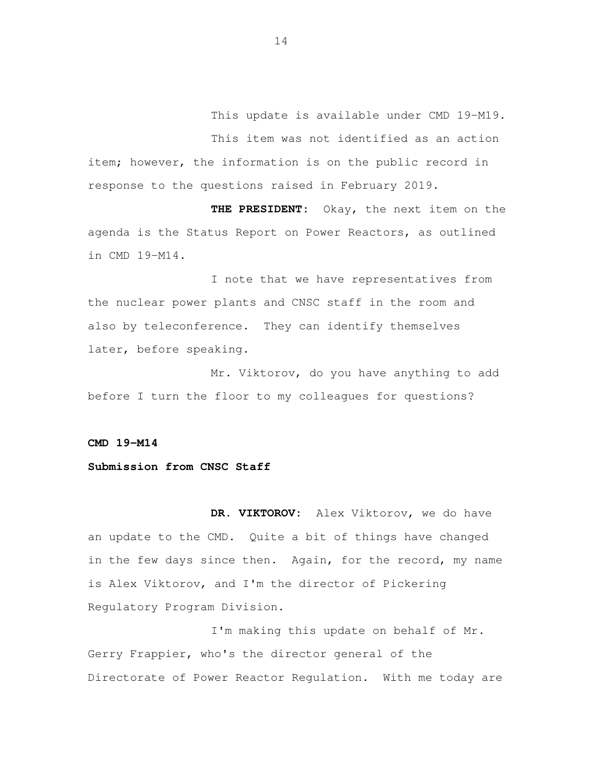This update is available under CMD 19-M19. This item was not identified as an action item; however, the information is on the public record in response to the questions raised in February 2019.

 **THE PRESIDENT:** Okay, the next item on the agenda is the Status Report on Power Reactors, as outlined in CMD 19-M14.

 I note that we have representatives from the nuclear power plants and CNSC staff in the room and also by teleconference. They can identify themselves later, before speaking.

 Mr. Viktorov, do you have anything to add before I turn the floor to my colleagues for questions?

 **CMD 19-M14** 

#### **Submission from CNSC Staff**

 **DR. VIKTOROV:** Alex Viktorov, we do have an update to the CMD. Quite a bit of things have changed is Alex Viktorov, and I'm the director of Pickering Regulatory Program Division. in the few days since then. Again, for the record, my name

 I'm making this update on behalf of Mr. Gerry Frappier, who's the director general of the Directorate of Power Reactor Regulation. With me today are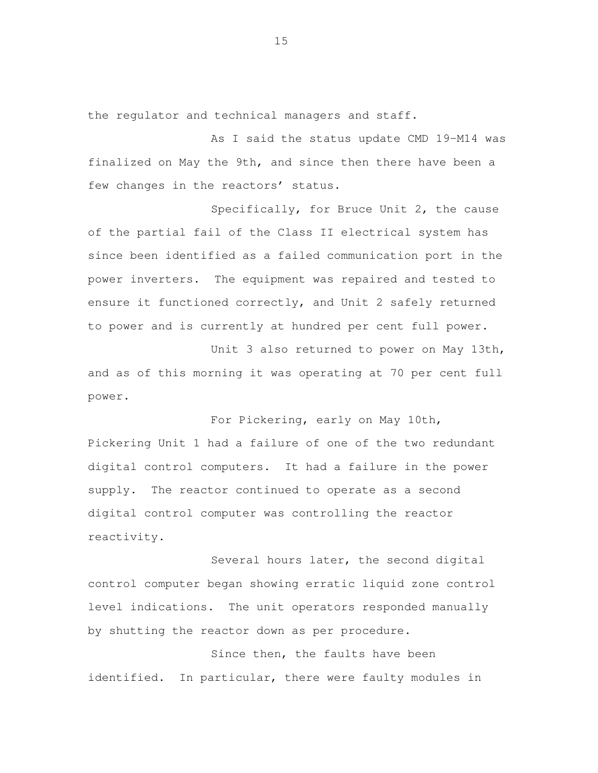the regulator and technical managers and staff.

 As I said the status update CMD 19-M14 was finalized on May the 9th, and since then there have been a few changes in the reactors' status.

 Specifically, for Bruce Unit 2, the cause of the partial fail of the Class II electrical system has since been identified as a failed communication port in the power inverters. The equipment was repaired and tested to ensure it functioned correctly, and Unit 2 safely returned to power and is currently at hundred per cent full power.

 Unit 3 also returned to power on May 13th, and as of this morning it was operating at 70 per cent full power.

 For Pickering, early on May 10th, Pickering Unit 1 had a failure of one of the two redundant digital control computers. It had a failure in the power supply. The reactor continued to operate as a second digital control computer was controlling the reactor reactivity.<br>Several hours later, the second digital

 control computer began showing erratic liquid zone control level indications. The unit operators responded manually by shutting the reactor down as per procedure.

Since then, the faults have been identified. In particular, there were faulty modules in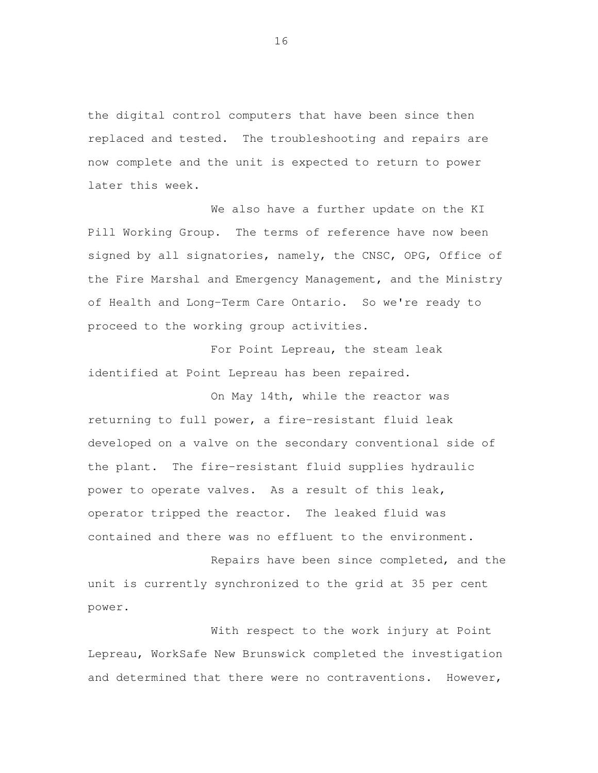the digital control computers that have been since then replaced and tested. The troubleshooting and repairs are now complete and the unit is expected to return to power later this week.

 We also have a further update on the KI Pill Working Group. The terms of reference have now been signed by all signatories, namely, the CNSC, OPG, Office of the Fire Marshal and Emergency Management, and the Ministry of Health and Long-Term Care Ontario. So we're ready to proceed to the working group activities.

 For Point Lepreau, the steam leak identified at Point Lepreau has been repaired.

 On May 14th, while the reactor was returning to full power, a fire-resistant fluid leak developed on a valve on the secondary conventional side of the plant. The fire-resistant fluid supplies hydraulic power to operate valves. As a result of this leak, operator tripped the reactor. The leaked fluid was contained and there was no effluent to the environment.

 Repairs have been since completed, and the unit is currently synchronized to the grid at 35 per cent power.

 With respect to the work injury at Point Lepreau, WorkSafe New Brunswick completed the investigation and determined that there were no contraventions. However,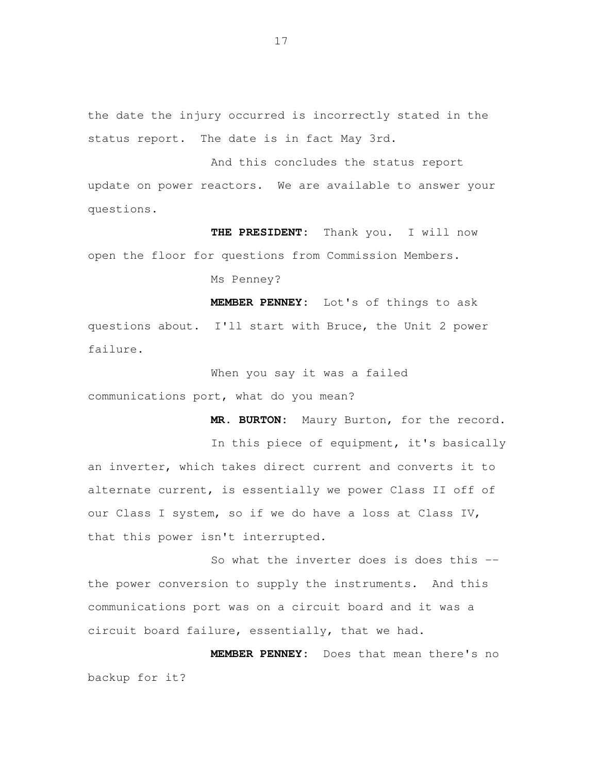the date the injury occurred is incorrectly stated in the status report. The date is in fact May 3rd.

 And this concludes the status report update on power reactors. We are available to answer your questions.

THE PRESIDENT: open the floor for questions from Commission Members. Thank you. I will now

Ms Penney?

 **MEMBER PENNEY:** Lot's of things to ask questions about. I'll start with Bruce, the Unit 2 power failure.

 When you say it was a failed communications port, what do you mean?

**MR. BURTON:** Maury Burton, for the record.

 In this piece of equipment, it's basically an inverter, which takes direct current and converts it to alternate current, is essentially we power Class II off of our Class I system, so if we do have a loss at Class IV, that this power isn't interrupted.

 So what the inverter does is does this -- the power conversion to supply the instruments. And this communications port was on a circuit board and it was a circuit board failure, essentially, that we had.

 **MEMBER PENNEY:** Does that mean there's no backup for it?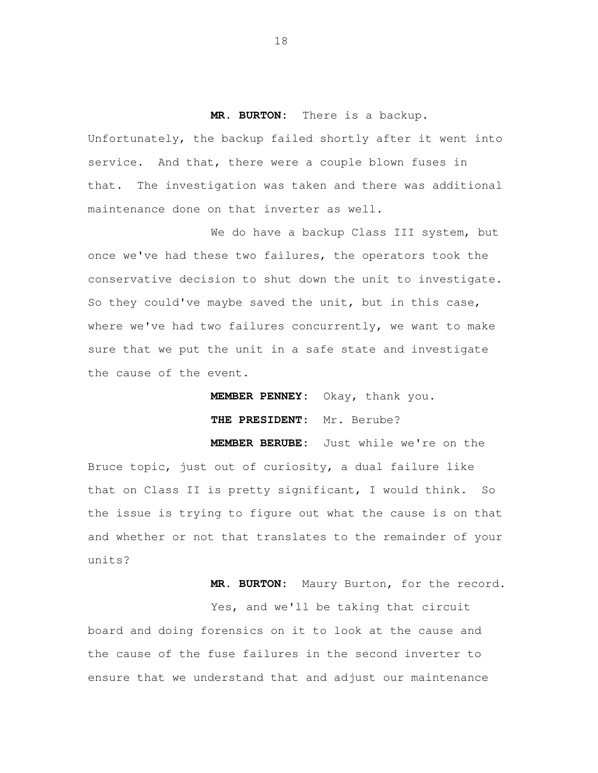## **MR. BURTON:** There is a backup.

 Unfortunately, the backup failed shortly after it went into service. And that, there were a couple blown fuses in that. The investigation was taken and there was additional maintenance done on that inverter as well.

 We do have a backup Class III system, but once we've had these two failures, the operators took the conservative decision to shut down the unit to investigate. So they could've maybe saved the unit, but in this case, where we've had two failures concurrently, we want to make sure that we put the unit in a safe state and investigate the cause of the event.

**MEMBER PENNEY:** Okay, thank you.

**THE PRESIDENT:** Mr. Berube?

 **MEMBER BERUBE:** Just while we're on the Bruce topic, just out of curiosity, a dual failure like that on Class II is pretty significant, I would think. So the issue is trying to figure out what the cause is on that and whether or not that translates to the remainder of your units?

**MR. BURTON:** Maury Burton, for the record.

 Yes, and we'll be taking that circuit board and doing forensics on it to look at the cause and the cause of the fuse failures in the second inverter to ensure that we understand that and adjust our maintenance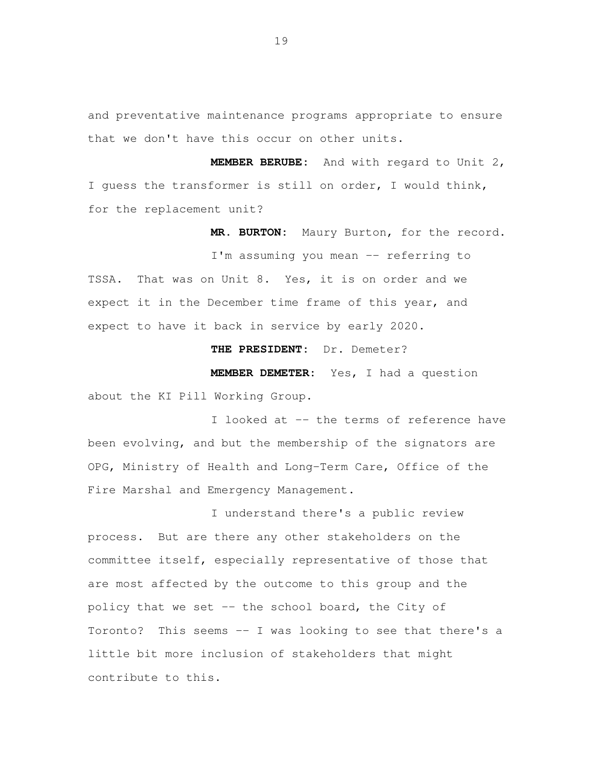and preventative maintenance programs appropriate to ensure that we don't have this occur on other units.

 **MEMBER BERUBE:** And with regard to Unit 2, I guess the transformer is still on order, I would think, for the replacement unit?

**MR. BURTON:** Maury Burton, for the record.

 I'm assuming you mean -- referring to TSSA. That was on Unit 8. Yes, it is on order and we expect it in the December time frame of this year, and expect to have it back in service by early 2020.

**THE PRESIDENT:** Dr. Demeter?

 **MEMBER DEMETER:** Yes, I had a question about the KI Pill Working Group.

 I looked at -- the terms of reference have been evolving, and but the membership of the signators are OPG, Ministry of Health and Long-Term Care, Office of the Fire Marshal and Emergency Management.

 I understand there's a public review process. But are there any other stakeholders on the committee itself, especially representative of those that are most affected by the outcome to this group and the policy that we set -- the school board, the City of Toronto? This seems -- I was looking to see that there's a little bit more inclusion of stakeholders that might contribute to this.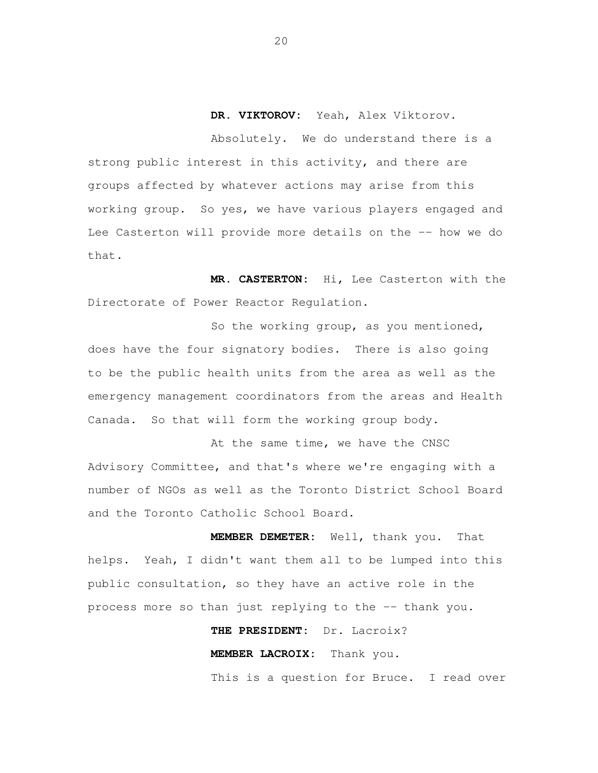**DR. VIKTOROV:** Yeah, Alex Viktorov.

 Absolutely. We do understand there is a strong public interest in this activity, and there are groups affected by whatever actions may arise from this working group. So yes, we have various players engaged and Lee Casterton will provide more details on the -- how we do that.

 **MR. CASTERTON:** Hi, Lee Casterton with the Directorate of Power Reactor Regulation.

 So the working group, as you mentioned, does have the four signatory bodies. There is also going to be the public health units from the area as well as the emergency management coordinators from the areas and Health Canada. So that will form the working group body.

At the same time, we have the CNSC Advisory Committee, and that's where we're engaging with a number of NGOs as well as the Toronto District School Board and the Toronto Catholic School Board.

 **MEMBER DEMETER:** Well, thank you. That helps. Yeah, I didn't want them all to be lumped into this public consultation, so they have an active role in the process more so than just replying to the -- thank you.

> **THE PRESIDENT:** Dr. Lacroix? **MEMBER LACROIX:** Thank you.

This is a question for Bruce. I read over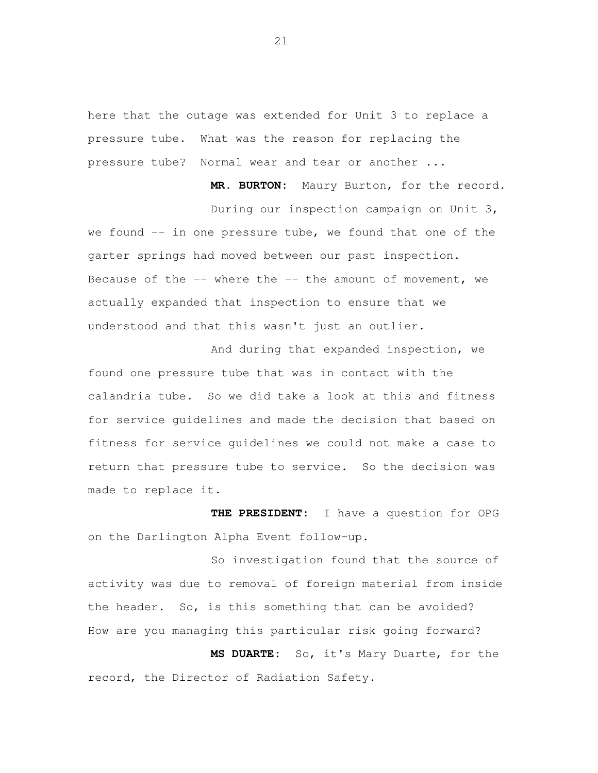here that the outage was extended for Unit 3 to replace a pressure tube. What was the reason for replacing the pressure tube? Normal wear and tear or another ...

 **MR. BURTON:** Maury Burton, for the record. During our inspection campaign on Unit 3, we found -- in one pressure tube, we found that one of the garter springs had moved between our past inspection. Because of the -- where the -- the amount of movement, we actually expanded that inspection to ensure that we understood and that this wasn't just an outlier.

 And during that expanded inspection, we found one pressure tube that was in contact with the calandria tube. So we did take a look at this and fitness for service guidelines and made the decision that based on fitness for service guidelines we could not make a case to return that pressure tube to service. So the decision was made to replace it.

 **THE PRESIDENT:** I have a question for OPG on the Darlington Alpha Event follow-up.

 So investigation found that the source of activity was due to removal of foreign material from inside the header. So, is this something that can be avoided? How are you managing this particular risk going forward?

 **MS DUARTE:** So, it's Mary Duarte, for the record, the Director of Radiation Safety.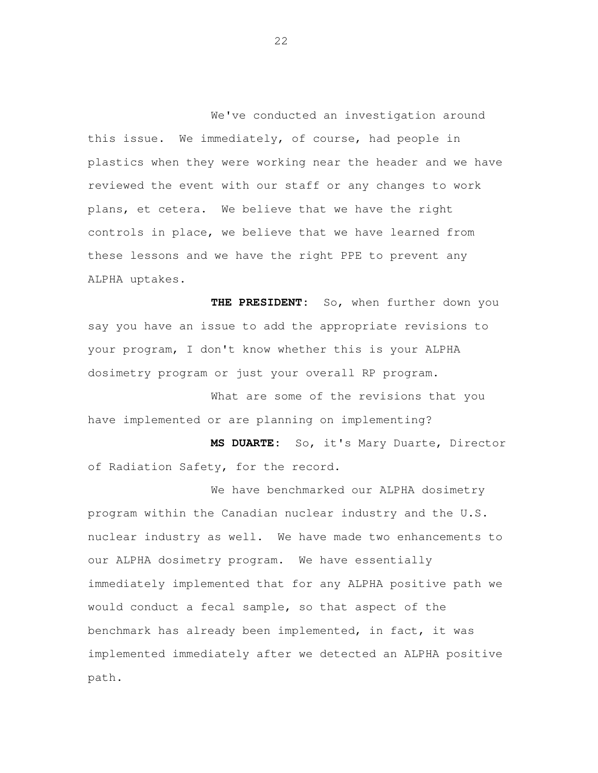We've conducted an investigation around this issue. We immediately, of course, had people in plastics when they were working near the header and we have plans, et cetera. We believe that we have the right controls in place, we believe that we have learned from these lessons and we have the right PPE to prevent any ALPHA uptakes. reviewed the event with our staff or any changes to work

 **THE PRESIDENT:** So, when further down you say you have an issue to add the appropriate revisions to your program, I don't know whether this is your ALPHA dosimetry program or just your overall RP program.

 What are some of the revisions that you have implemented or are planning on implementing?

 **MS DUARTE:** So, it's Mary Duarte, Director of Radiation Safety, for the record.

 We have benchmarked our ALPHA dosimetry program within the Canadian nuclear industry and the U.S. nuclear industry as well. We have made two enhancements to our ALPHA dosimetry program. We have essentially immediately implemented that for any ALPHA positive path we would conduct a fecal sample, so that aspect of the benchmark has already been implemented, in fact, it was implemented immediately after we detected an ALPHA positive path.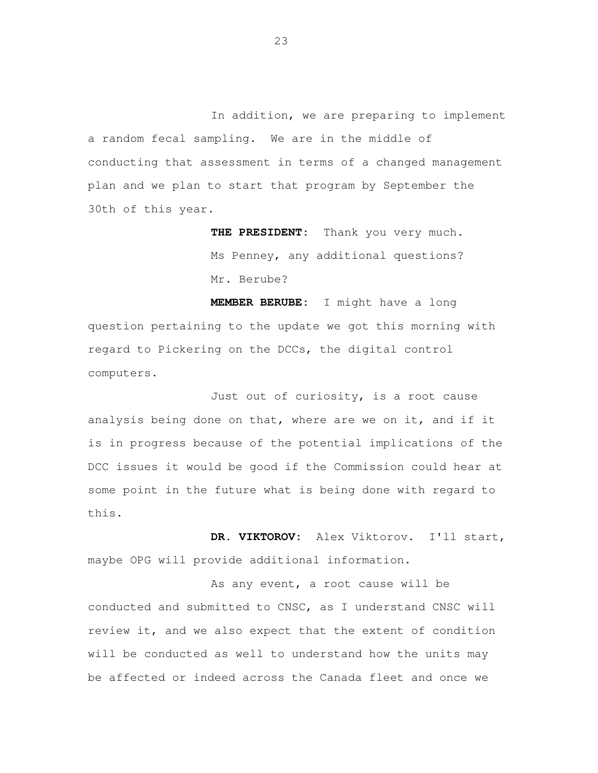In addition, we are preparing to implement a random fecal sampling. We are in the middle of conducting that assessment in terms of a changed management plan and we plan to start that program by September the 30th of this year.

> **THE PRESIDENT:** Thank you very much. Ms Penney, any additional questions? Mr. Berube?

 **MEMBER BERUBE:** I might have a long question pertaining to the update we got this morning with regard to Pickering on the DCCs, the digital control computers.

Just out of curiosity, is a root cause analysis being done on that, where are we on it, and if it is in progress because of the potential implications of the DCC issues it would be good if the Commission could hear at some point in the future what is being done with regard to this.

 **DR. VIKTOROV:** Alex Viktorov. I'll start, maybe OPG will provide additional information.

As any event, a root cause will be conducted and submitted to CNSC, as I understand CNSC will review it, and we also expect that the extent of condition will be conducted as well to understand how the units may be affected or indeed across the Canada fleet and once we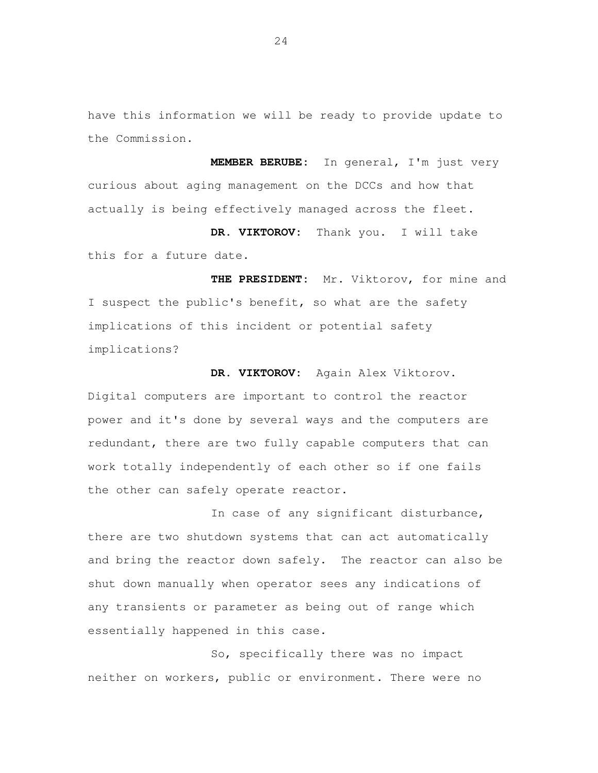have this information we will be ready to provide update to the Commission.

 **MEMBER BERUBE:** In general, I'm just very curious about aging management on the DCCs and how that actually is being effectively managed across the fleet.

 **DR. VIKTOROV:** Thank you. I will take this for a future date.

THE PRESIDENT: I suspect the public's benefit, so what are the safety implications of this incident or potential safety Mr. Viktorov, for mine and implications?

 **DR. VIKTOROV:** Again Alex Viktorov. Digital computers are important to control the reactor power and it's done by several ways and the computers are redundant, there are two fully capable computers that can work totally independently of each other so if one fails the other can safely operate reactor.

 In case of any significant disturbance, there are two shutdown systems that can act automatically and bring the reactor down safely. The reactor can also be shut down manually when operator sees any indications of any transients or parameter as being out of range which essentially happened in this case.

 So, specifically there was no impact neither on workers, public or environment. There were no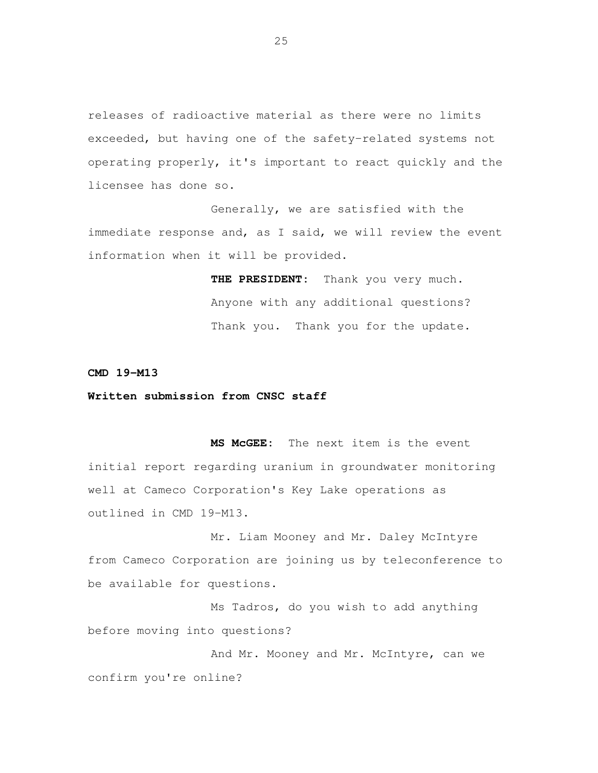releases of radioactive material as there were no limits exceeded, but having one of the safety-related systems not operating properly, it's important to react quickly and the licensee has done so.

 Generally, we are satisfied with the immediate response and, as I said, we will review the event information when it will be provided.

> **THE PRESIDENT:** Thank you very much. Anyone with any additional questions? Thank you. Thank you for the update.

#### **CMD 19-M13**

#### **Written submission from CNSC staff**

 **MS McGEE:** The next item is the event initial report regarding uranium in groundwater monitoring well at Cameco Corporation's Key Lake operations as outlined in CMD 19-M13.

 Mr. Liam Mooney and Mr. Daley McIntyre from Cameco Corporation are joining us by teleconference to be available for questions.

 Ms Tadros, do you wish to add anything before moving into questions?

 And Mr. Mooney and Mr. McIntyre, can we confirm you're online?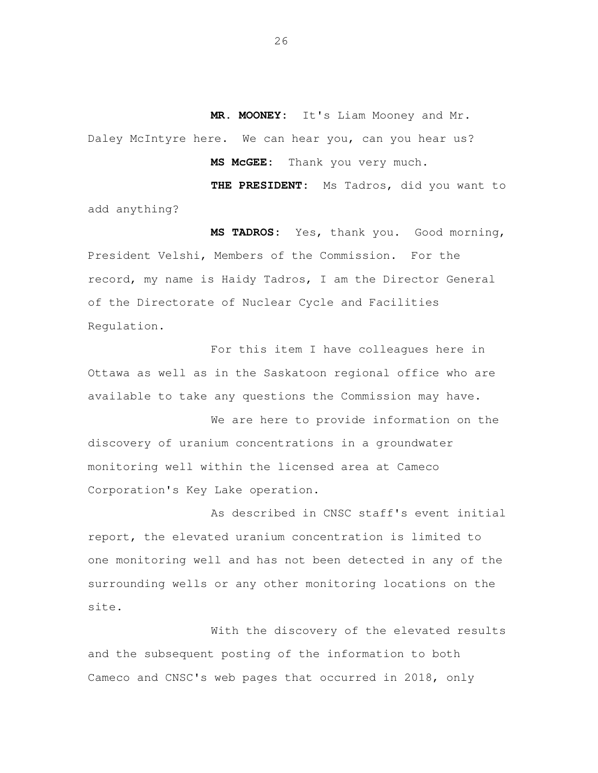**MR. MOONEY:** It's Liam Mooney and Mr. Daley McIntyre here. We can hear you, can you hear us?

> MS MCGEE: Thank you very much.

 **THE PRESIDENT:** Ms Tadros, did you want to add anything?

 **MS TADROS:** Yes, thank you. Good morning, President Velshi, Members of the Commission. For the record, my name is Haidy Tadros, I am the Director General of the Directorate of Nuclear Cycle and Facilities Regulation.

 For this item I have colleagues here in Ottawa as well as in the Saskatoon regional office who are available to take any questions the Commission may have.

 We are here to provide information on the discovery of uranium concentrations in a groundwater monitoring well within the licensed area at Cameco Corporation's Key Lake operation.

 As described in CNSC staff's event initial report, the elevated uranium concentration is limited to one monitoring well and has not been detected in any of the surrounding wells or any other monitoring locations on the site.

 With the discovery of the elevated results and the subsequent posting of the information to both Cameco and CNSC's web pages that occurred in 2018, only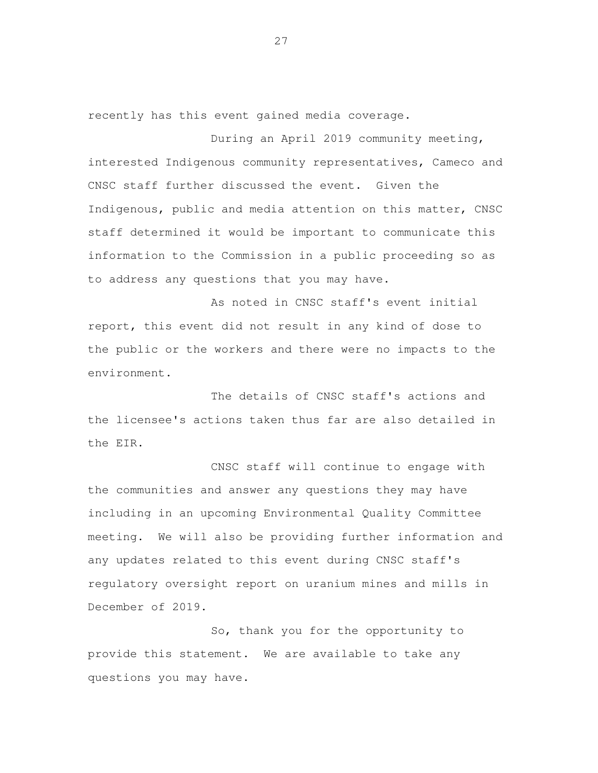recently has this event gained media coverage.

 During an April 2019 community meeting, interested Indigenous community representatives, Cameco and CNSC staff further discussed the event. Given the Indigenous, public and media attention on this matter, CNSC staff determined it would be important to communicate this information to the Commission in a public proceeding so as to address any questions that you may have.

 As noted in CNSC staff's event initial report, this event did not result in any kind of dose to the public or the workers and there were no impacts to the environment.

 The details of CNSC staff's actions and the licensee's actions taken thus far are also detailed in the EIR.

 CNSC staff will continue to engage with the communities and answer any questions they may have including in an upcoming Environmental Quality Committee meeting. We will also be providing further information and any updates related to this event during CNSC staff's regulatory oversight report on uranium mines and mills in December of 2019.

 So, thank you for the opportunity to provide this statement. We are available to take any questions you may have.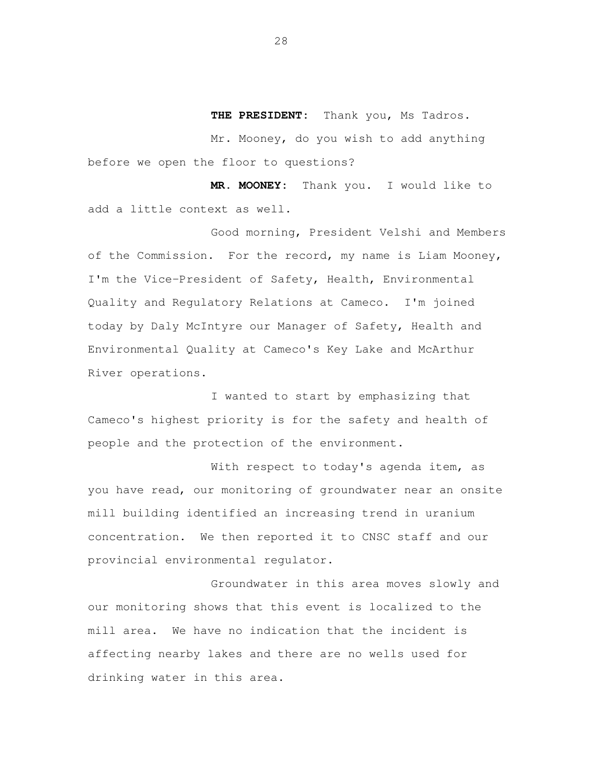**THE PRESIDENT:** Thank you, Ms Tadros.

 Mr. Mooney, do you wish to add anything before we open the floor to questions?

 **MR. MOONEY:** Thank you. I would like to add a little context as well.

 Good morning, President Velshi and Members of the Commission. For the record, my name is Liam Mooney, I'm the Vice-President of Safety, Health, Environmental Quality and Regulatory Relations at Cameco. I'm joined today by Daly McIntyre our Manager of Safety, Health and Environmental Quality at Cameco's Key Lake and McArthur River operations.

 I wanted to start by emphasizing that Cameco's highest priority is for the safety and health of people and the protection of the environment.

With respect to today's agenda item, as you have read, our monitoring of groundwater near an onsite mill building identified an increasing trend in uranium concentration. We then reported it to CNSC staff and our provincial environmental regulator.

 Groundwater in this area moves slowly and our monitoring shows that this event is localized to the mill area. We have no indication that the incident is affecting nearby lakes and there are no wells used for drinking water in this area.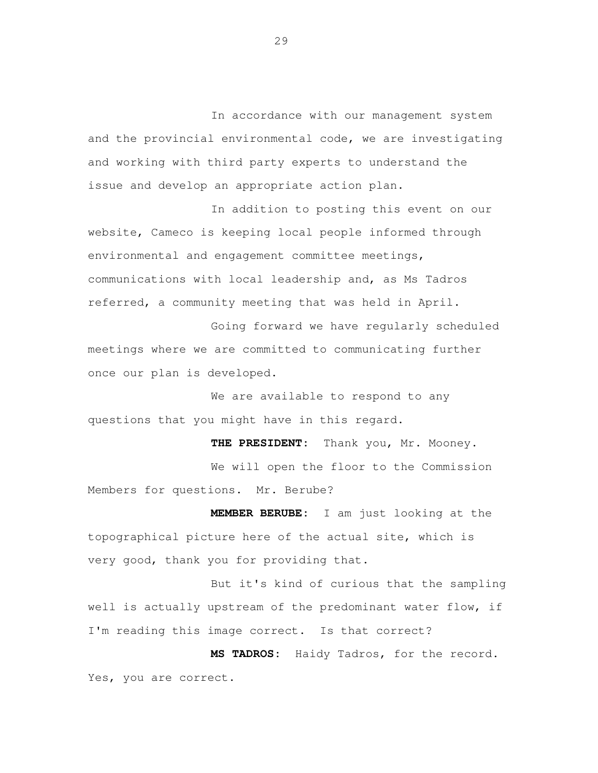In accordance with our management system and the provincial environmental code, we are investigating and working with third party experts to understand the issue and develop an appropriate action plan.

 In addition to posting this event on our website, Cameco is keeping local people informed through environmental and engagement committee meetings, communications with local leadership and, as Ms Tadros referred, a community meeting that was held in April.

 Going forward we have regularly scheduled meetings where we are committed to communicating further once our plan is developed.

 We are available to respond to any questions that you might have in this regard.

 **THE PRESIDENT:** Thank you, Mr. Mooney. We will open the floor to the Commission Members for questions. Mr. Berube?

 **MEMBER BERUBE:** I am just looking at the topographical picture here of the actual site, which is very good, thank you for providing that.

 But it's kind of curious that the sampling well is actually upstream of the predominant water flow, if I'm reading this image correct. Is that correct?

 **MS TADROS:** Haidy Tadros, for the record. Yes, you are correct.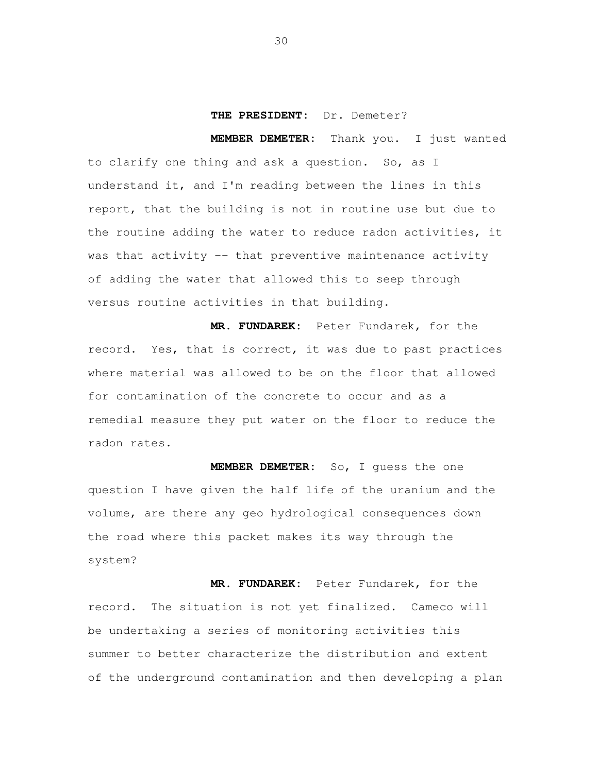## **THE PRESIDENT:** Dr. Demeter?

 **MEMBER DEMETER:** Thank you. I just wanted to clarify one thing and ask a question. So, as I understand it, and I'm reading between the lines in this report, that the building is not in routine use but due to the routine adding the water to reduce radon activities, it was that activity -- that preventive maintenance activity of adding the water that allowed this to seep through versus routine activities in that building.

 **MR. FUNDAREK:** Peter Fundarek, for the record. Yes, that is correct, it was due to past practices where material was allowed to be on the floor that allowed for contamination of the concrete to occur and as a remedial measure they put water on the floor to reduce the radon rates.

 **MEMBER DEMETER:** So, I guess the one question I have given the half life of the uranium and the volume, are there any geo hydrological consequences down the road where this packet makes its way through the system?

 **MR. FUNDAREK:** Peter Fundarek, for the record. The situation is not yet finalized. Cameco will be undertaking a series of monitoring activities this summer to better characterize the distribution and extent of the underground contamination and then developing a plan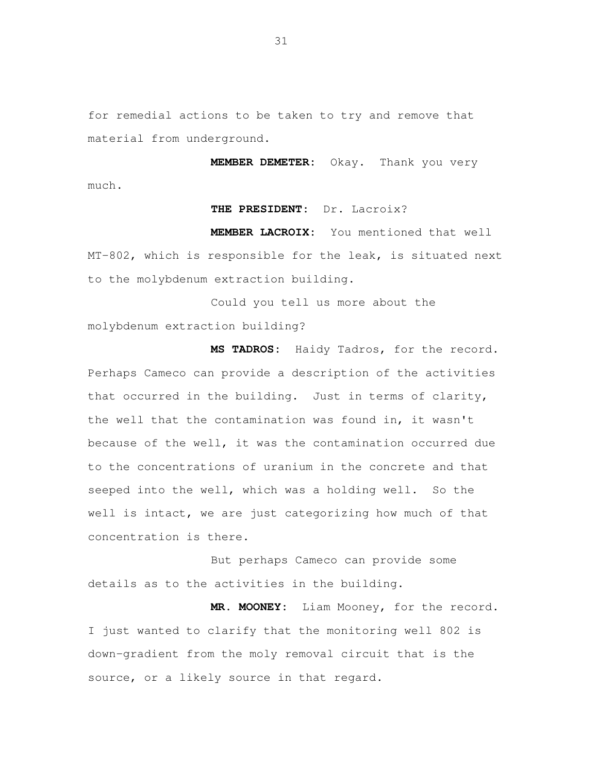for remedial actions to be taken to try and remove that material from underground.

 **MEMBER DEMETER:** Okay. Thank you very much.

## **THE PRESIDENT:** Dr. Lacroix?

 **MEMBER LACROIX:** You mentioned that well MT-802, which is responsible for the leak, is situated next to the molybdenum extraction building.

 Could you tell us more about the molybdenum extraction building?

 **MS TADROS:** Haidy Tadros, for the record. Perhaps Cameco can provide a description of the activities that occurred in the building. Just in terms of clarity, the well that the contamination was found in, it wasn't because of the well, it was the contamination occurred due to the concentrations of uranium in the concrete and that seeped into the well, which was a holding well. So the well is intact, we are just categorizing how much of that concentration is there.

 But perhaps Cameco can provide some details as to the activities in the building.

 **MR. MOONEY:** Liam Mooney, for the record. I just wanted to clarify that the monitoring well 802 is down-gradient from the moly removal circuit that is the source, or a likely source in that regard.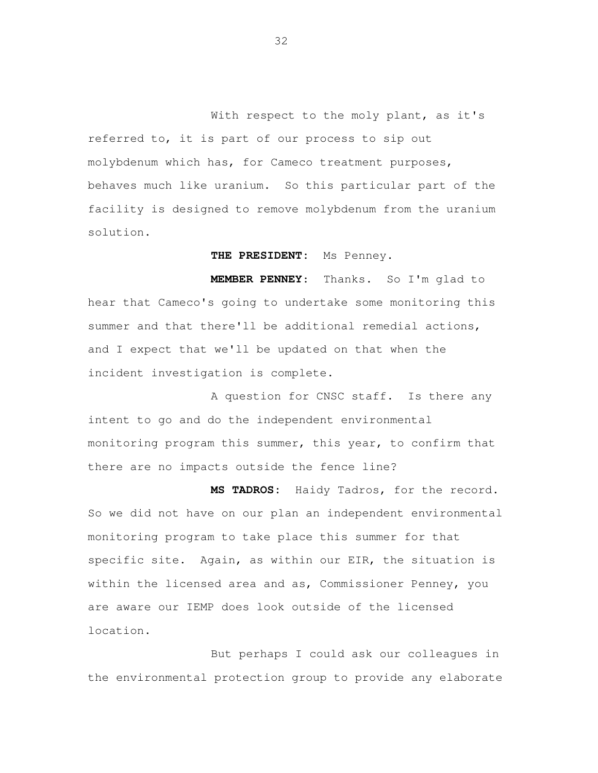With respect to the moly plant, as it's referred to, it is part of our process to sip out molybdenum which has, for Cameco treatment purposes, behaves much like uranium. So this particular part of the facility is designed to remove molybdenum from the uranium solution.

**THE PRESIDENT:** Ms Penney.

MEMBER PENNEY: hear that Cameco's going to undertake some monitoring this summer and that there'll be additional remedial actions, and I expect that we'll be updated on that when the incident investigation is complete. Thanks. So I'm glad to

 A question for CNSC staff. Is there any intent to go and do the independent environmental monitoring program this summer, this year, to confirm that there are no impacts outside the fence line?

 **MS TADROS:** Haidy Tadros, for the record. So we did not have on our plan an independent environmental monitoring program to take place this summer for that specific site. Again, as within our EIR, the situation is within the licensed area and as, Commissioner Penney, you are aware our IEMP does look outside of the licensed location.<br>But perhaps I could ask our colleagues in

the environmental protection group to provide any elaborate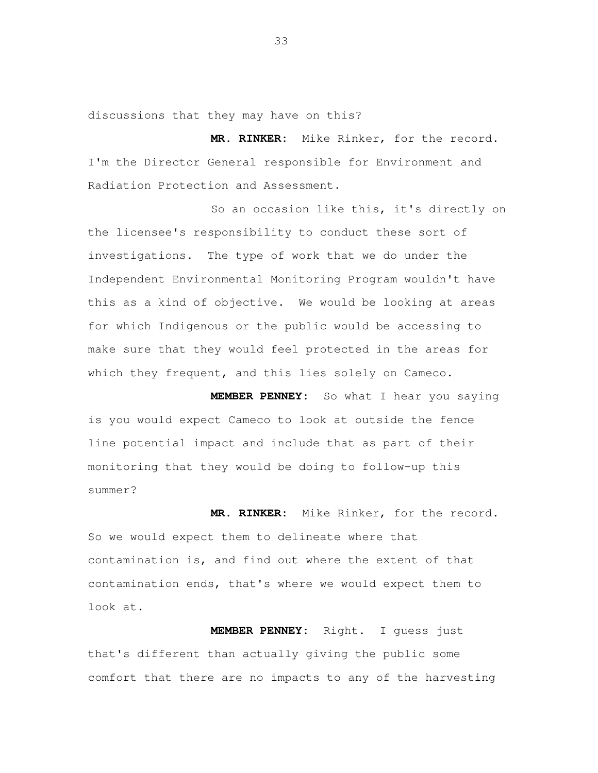discussions that they may have on this?

 **MR. RINKER:** Mike Rinker, for the record. I'm the Director General responsible for Environment and Radiation Protection and Assessment.

 So an occasion like this, it's directly on the licensee's responsibility to conduct these sort of investigations. The type of work that we do under the Independent Environmental Monitoring Program wouldn't have this as a kind of objective. We would be looking at areas for which Indigenous or the public would be accessing to make sure that they would feel protected in the areas for which they frequent, and this lies solely on Cameco.

 **MEMBER PENNEY:** So what I hear you saying is you would expect Cameco to look at outside the fence line potential impact and include that as part of their monitoring that they would be doing to follow-up this summer?

 **MR. RINKER:** Mike Rinker, for the record. So we would expect them to delineate where that contamination is, and find out where the extent of that contamination ends, that's where we would expect them to look at.

 **MEMBER PENNEY:** Right. I guess just that's different than actually giving the public some comfort that there are no impacts to any of the harvesting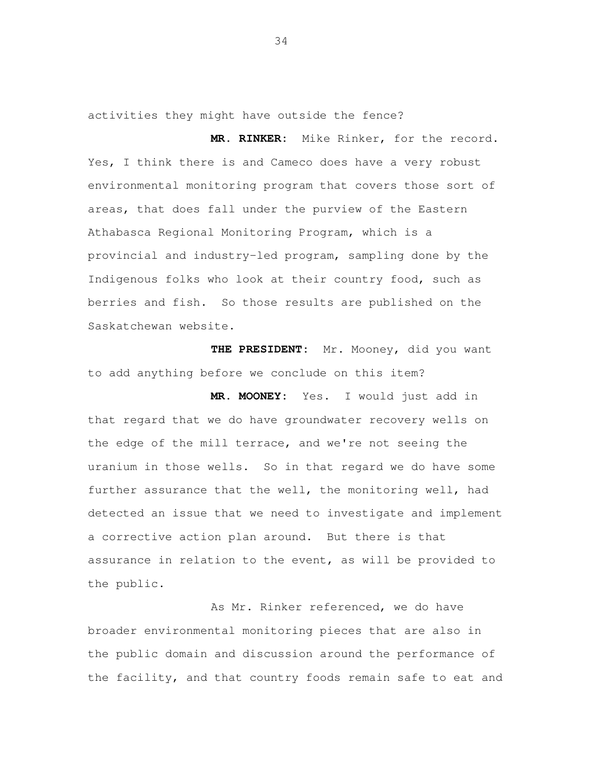activities they might have outside the fence?

 **MR. RINKER:** Mike Rinker, for the record. Yes, I think there is and Cameco does have a very robust environmental monitoring program that covers those sort of areas, that does fall under the purview of the Eastern Athabasca Regional Monitoring Program, which is a provincial and industry-led program, sampling done by the Indigenous folks who look at their country food, such as berries and fish. So those results are published on the Saskatchewan website.

 **THE PRESIDENT:** Mr. Mooney, did you want to add anything before we conclude on this item?

 **MR. MOONEY:** Yes. I would just add in that regard that we do have groundwater recovery wells on the edge of the mill terrace, and we're not seeing the uranium in those wells. So in that regard we do have some further assurance that the well, the monitoring well, had detected an issue that we need to investigate and implement a corrective action plan around. But there is that assurance in relation to the event, as will be provided to the public.

 As Mr. Rinker referenced, we do have broader environmental monitoring pieces that are also in the public domain and discussion around the performance of the facility, and that country foods remain safe to eat and